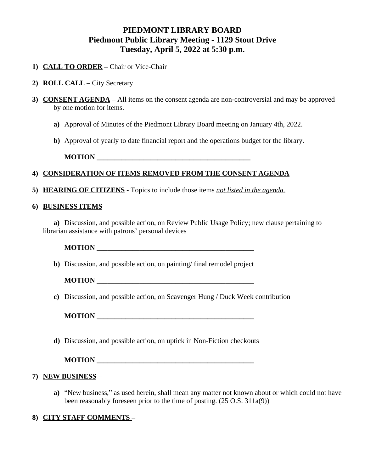# **PIEDMONT LIBRARY BOARD Piedmont Public Library Meeting - 1129 Stout Drive Tuesday, April 5, 2022 at 5:30 p.m.**

- **1) CALL TO ORDER –** Chair or Vice-Chair
- **2) ROLL CALL –** City Secretary
- **3) CONSENT AGENDA –** All items on the consent agenda are non-controversial and may be approved by one motion for items.
	- **a)** Approval of Minutes of the Piedmont Library Board meeting on January 4th, 2022.
	- **b)** Approval of yearly to date financial report and the operations budget for the library.

**MOTION \_\_\_\_\_\_\_\_\_\_\_\_\_\_\_\_\_\_\_\_\_\_\_\_\_\_\_\_\_\_\_\_\_\_\_\_\_\_\_\_\_\_\_**

## **4) CONSIDERATION OF ITEMS REMOVED FROM THE CONSENT AGENDA**

**5) HEARING OF CITIZENS -** Topics to include those items *not listed in the agenda.*

#### **6) BUSINESS ITEMS** –

**a)** Discussion, and possible action, on Review Public Usage Policy; new clause pertaining to librarian assistance with patrons' personal devices

**MOTION \_\_\_\_\_\_\_\_\_\_\_\_\_\_\_\_\_\_\_\_\_\_\_\_\_\_\_\_\_\_\_\_\_\_\_\_\_\_\_\_\_\_\_\_**

**b)** Discussion, and possible action, on painting/ final remodel project

**MOTION** 

**c)** Discussion, and possible action, on Scavenger Hung / Duck Week contribution

**MOTION** 

**d)** Discussion, and possible action, on uptick in Non-Fiction checkouts

**MOTION \_\_\_\_\_\_\_\_\_\_\_\_\_\_\_\_\_\_\_\_\_\_\_\_\_\_\_\_\_\_\_\_\_\_\_\_\_\_\_\_\_\_\_\_**

### **7) NEW BUSINESS –**

- **a)** "New business," as used herein, shall mean any matter not known about or which could not have been reasonably foreseen prior to the time of posting. (25 O.S. 311a(9))
- **8) CITY STAFF COMMENTS –**